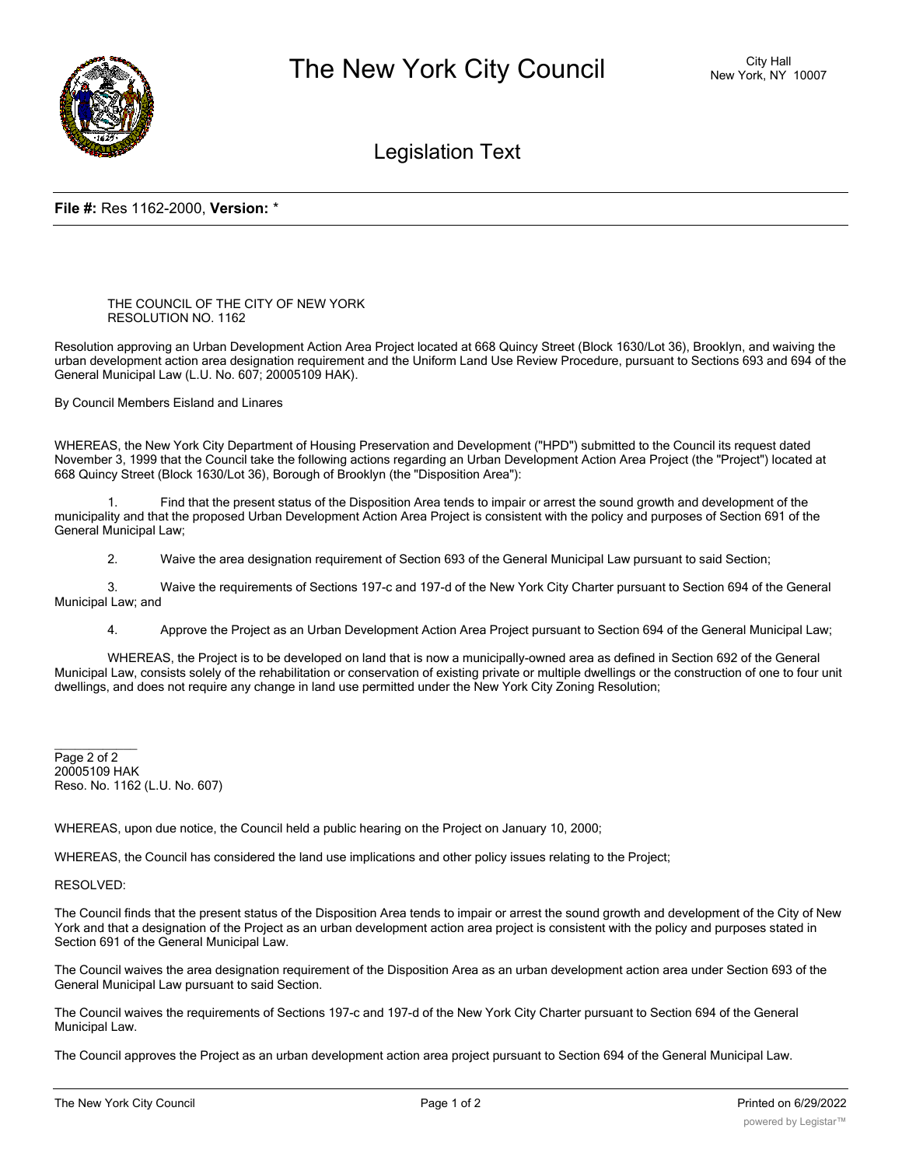

## Legislation Text

## **File #:** Res 1162-2000, **Version:** \*

THE COUNCIL OF THE CITY OF NEW YORK RESOLUTION NO. 1162

Resolution approving an Urban Development Action Area Project located at 668 Quincy Street (Block 1630/Lot 36), Brooklyn, and waiving the urban development action area designation requirement and the Uniform Land Use Review Procedure, pursuant to Sections 693 and 694 of the General Municipal Law (L.U. No. 607; 20005109 HAK).

By Council Members Eisland and Linares

WHEREAS, the New York City Department of Housing Preservation and Development ("HPD") submitted to the Council its request dated November 3, 1999 that the Council take the following actions regarding an Urban Development Action Area Project (the "Project") located at 668 Quincy Street (Block 1630/Lot 36), Borough of Brooklyn (the "Disposition Area"):

1. Find that the present status of the Disposition Area tends to impair or arrest the sound growth and development of the municipality and that the proposed Urban Development Action Area Project is consistent with the policy and purposes of Section 691 of the General Municipal Law;

2. Waive the area designation requirement of Section 693 of the General Municipal Law pursuant to said Section;

3. Waive the requirements of Sections 197-c and 197-d of the New York City Charter pursuant to Section 694 of the General Municipal Law; and

4. Approve the Project as an Urban Development Action Area Project pursuant to Section 694 of the General Municipal Law;

WHEREAS, the Project is to be developed on land that is now a municipally-owned area as defined in Section 692 of the General Municipal Law, consists solely of the rehabilitation or conservation of existing private or multiple dwellings or the construction of one to four unit dwellings, and does not require any change in land use permitted under the New York City Zoning Resolution;

Page 2 of 2 20005109 HAK Reso. No. 1162 (L.U. No. 607)

WHEREAS, upon due notice, the Council held a public hearing on the Project on January 10, 2000;

WHEREAS, the Council has considered the land use implications and other policy issues relating to the Project;

RESOLVED:

 $\overline{\phantom{a}}$ 

The Council finds that the present status of the Disposition Area tends to impair or arrest the sound growth and development of the City of New York and that a designation of the Project as an urban development action area project is consistent with the policy and purposes stated in Section 691 of the General Municipal Law.

The Council waives the area designation requirement of the Disposition Area as an urban development action area under Section 693 of the General Municipal Law pursuant to said Section.

The Council waives the requirements of Sections 197-c and 197-d of the New York City Charter pursuant to Section 694 of the General Municipal Law.

The Council approves the Project as an urban development action area project pursuant to Section 694 of the General Municipal Law.